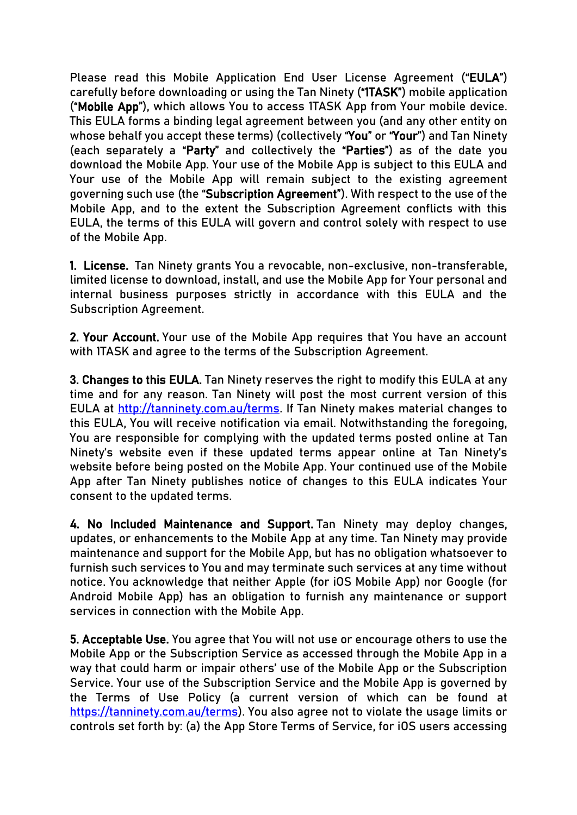Please read this Mobile Application End User License Agreement ("EULA") carefully before downloading or using the Tan Ninety ("1TASK") mobile application ("Mobile App"), which allows You to access 1TASK App from Your mobile device. This EULA forms a binding legal agreement between you (and any other entity on whose behalf you accept these terms) (collectively "You" or "Your") and Tan Ninety (each separately a "Party" and collectively the "Parties") as of the date you download the Mobile App. Your use of the Mobile App is subject to this EULA and Your use of the Mobile App will remain subject to the existing agreement governing such use (the "Subscription Agreement"). With respect to the use of the Mobile App, and to the extent the Subscription Agreement conflicts with this EULA, the terms of this EULA will govern and control solely with respect to use of the Mobile App.

1. License. Tan Ninety grants You a revocable, non-exclusive, non-transferable, limited license to download, install, and use the Mobile App for Your personal and internal business purposes strictly in accordance with this EULA and the Subscription Agreement.

2. Your Account. Your use of the Mobile App requires that You have an account with 1TASK and agree to the terms of the Subscription Agreement.

3. Changes to this EULA. Tan Ninety reserves the right to modify this EULA at any time and for any reason. Tan Ninety will post the most current version of this EULA at [http://tanninety.com.au/terms.](http://tanninety.com.au/terms) If Tan Ninety makes material changes to this EULA, You will receive notification via email. Notwithstanding the foregoing, You are responsible for complying with the updated terms posted online at Tan Ninety's website even if these updated terms appear online at Tan Ninety's website before being posted on the Mobile App. Your continued use of the Mobile App after Tan Ninety publishes notice of changes to this EULA indicates Your consent to the updated terms.

4. No Included Maintenance and Support. Tan Ninety may deploy changes, updates, or enhancements to the Mobile App at any time. Tan Ninety may provide maintenance and support for the Mobile App, but has no obligation whatsoever to furnish such services to You and may terminate such services at any time without notice. You acknowledge that neither Apple (for iOS Mobile App) nor Google (for Android Mobile App) has an obligation to furnish any maintenance or support services in connection with the Mobile App.

5. Acceptable Use. You agree that You will not use or encourage others to use the Mobile App or the Subscription Service as accessed through the Mobile App in a way that could harm or impair others' use of the Mobile App or the Subscription Service. Your use of the Subscription Service and the Mobile App is governed by the Terms of Use Policy (a current version of which can be found at [https://tanninety.com.au/terms\)](https://tanninety.com.au/terms). You also agree not to violate the usage limits or controls set forth by: (a) the App Store Terms of Service, for iOS users accessing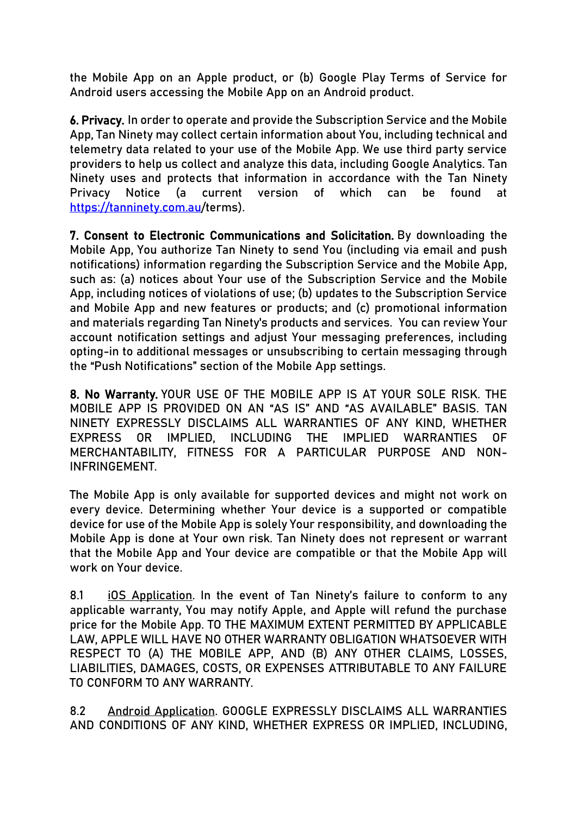the Mobile App on an Apple product, or (b) Google Play Terms of Service for Android users accessing the Mobile App on an Android product.

6. Privacy. In order to operate and provide the Subscription Service and the Mobile App, Tan Ninety may collect certain information about You, including technical and telemetry data related to your use of the Mobile App. We use third party service providers to help us collect and analyze this data, including Google Analytics. Tan Ninety uses and protects that information in accordance with the Tan Ninety Privacy Notice (a current version of which can be found at <https://tanninety.com.au/>terms).

7. Consent to Electronic Communications and Solicitation. By downloading the Mobile App, You authorize Tan Ninety to send You (including via email and push notifications) information regarding the Subscription Service and the Mobile App, such as: (a) notices about Your use of the Subscription Service and the Mobile App, including notices of violations of use; (b) updates to the Subscription Service and Mobile App and new features or products; and (c) promotional information and materials regarding Tan Ninety's products and services. You can review Your account notification settings and adjust Your messaging preferences, including opting-in to additional messages or unsubscribing to certain messaging through the "Push Notifications" section of the Mobile App settings.

8. No Warranty. YOUR USE OF THE MOBILE APP IS AT YOUR SOLE RISK. THE MOBILE APP IS PROVIDED ON AN "AS IS" AND "AS AVAILABLE" BASIS. TAN NINETY EXPRESSLY DISCLAIMS ALL WARRANTIES OF ANY KIND, WHETHER EXPRESS OR IMPLIED, INCLUDING THE IMPLIED WARRANTIES OF MERCHANTABILITY, FITNESS FOR A PARTICULAR PURPOSE AND NON-INFRINGEMENT.

The Mobile App is only available for supported devices and might not work on every device. Determining whether Your device is a supported or compatible device for use of the Mobile App is solely Your responsibility, and downloading the Mobile App is done at Your own risk. Tan Ninety does not represent or warrant that the Mobile App and Your device are compatible or that the Mobile App will work on Your device.

8.1 iOS Application. In the event of Tan Ninety's failure to conform to any applicable warranty, You may notify Apple, and Apple will refund the purchase price for the Mobile App. TO THE MAXIMUM EXTENT PERMITTED BY APPLICABLE LAW, APPLE WILL HAVE NO OTHER WARRANTY OBLIGATION WHATSOEVER WITH RESPECT TO (A) THE MOBILE APP, AND (B) ANY OTHER CLAIMS, LOSSES, LIABILITIES, DAMAGES, COSTS, OR EXPENSES ATTRIBUTABLE TO ANY FAILURE TO CONFORM TO ANY WARRANTY.

8.2 Android Application. GOOGLE EXPRESSLY DISCLAIMS ALL WARRANTIES AND CONDITIONS OF ANY KIND, WHETHER EXPRESS OR IMPLIED, INCLUDING,